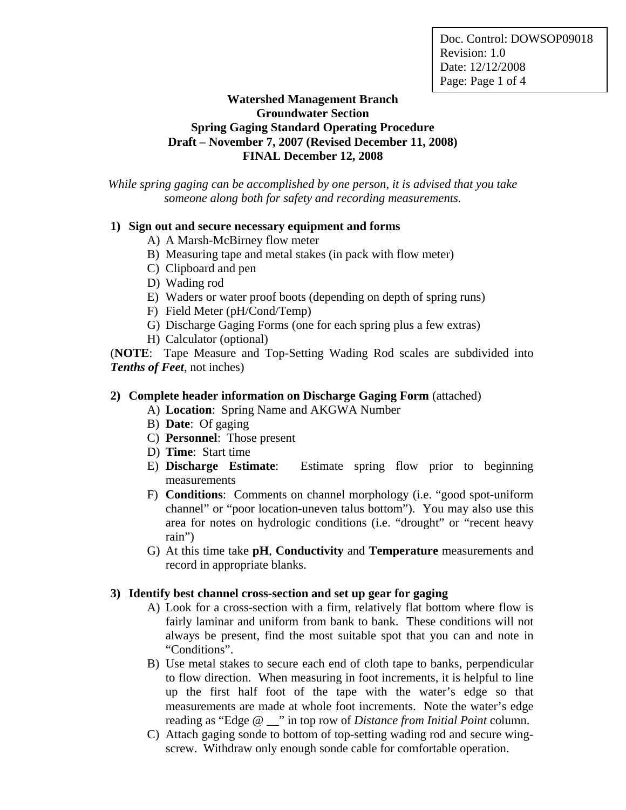Doc. Control: DOWSOP09018 Revision: 1.0 Date: 12/12/2008 Page: Page 1 of 4

## **Watershed Management Branch Groundwater Section Spring Gaging Standard Operating Procedure Draft – November 7, 2007 (Revised December 11, 2008) FINAL December 12, 2008**

*While spring gaging can be accomplished by one person, it is advised that you take someone along both for safety and recording measurements.* 

#### **1) Sign out and secure necessary equipment and forms**

- A) A Marsh-McBirney flow meter
- B) Measuring tape and metal stakes (in pack with flow meter)
- C) Clipboard and pen
- D) Wading rod
- E) Waders or water proof boots (depending on depth of spring runs)
- F) Field Meter (pH/Cond/Temp)
- G) Discharge Gaging Forms (one for each spring plus a few extras)
- H) Calculator (optional)

(**NOTE**: Tape Measure and Top-Setting Wading Rod scales are subdivided into *Tenths of Feet*, not inches)

#### **2) Complete header information on Discharge Gaging Form** (attached)

A) **Location**: Spring Name and AKGWA Number

- B) **Date**: Of gaging
- C) **Personnel**: Those present
- D) **Time**: Start time
- E) **Discharge Estimate**: Estimate spring flow prior to beginning measurements
- F) **Conditions**: Comments on channel morphology (i.e. "good spot-uniform channel" or "poor location-uneven talus bottom"). You may also use this area for notes on hydrologic conditions (i.e. "drought" or "recent heavy rain")
- G) At this time take **pH**, **Conductivity** and **Temperature** measurements and record in appropriate blanks.

#### **3) Identify best channel cross-section and set up gear for gaging**

- A) Look for a cross-section with a firm, relatively flat bottom where flow is fairly laminar and uniform from bank to bank. These conditions will not always be present, find the most suitable spot that you can and note in "Conditions".
- B) Use metal stakes to secure each end of cloth tape to banks, perpendicular to flow direction. When measuring in foot increments, it is helpful to line up the first half foot of the tape with the water's edge so that measurements are made at whole foot increments. Note the water's edge reading as "Edge @ \_\_" in top row of *Distance from Initial Point* column.
- C) Attach gaging sonde to bottom of top-setting wading rod and secure wingscrew. Withdraw only enough sonde cable for comfortable operation.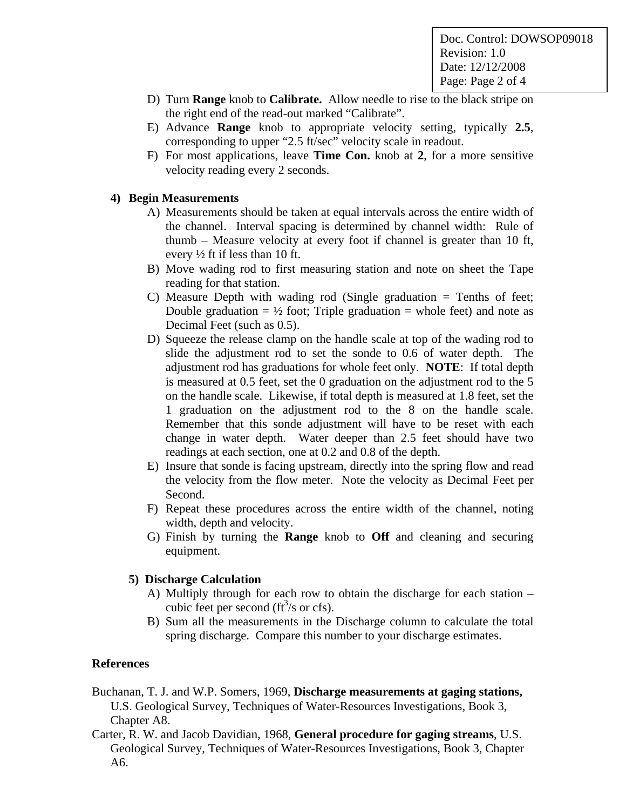Doc. Control: DOWSOP09018 Revision: 1.0 Date: 12/12/2008 Page: Page 2 of 4

- D) Turn **Range** knob to **Calibrate.** Allow needle to rise to the black stripe on the right end of the read-out marked "Calibrate".
- E) Advance **Range** knob to appropriate velocity setting, typically **2.5**, corresponding to upper "2.5 ft/sec" velocity scale in readout.
- F) For most applications, leave **Time Con.** knob at **2**, for a more sensitive velocity reading every 2 seconds.

## **4) Begin Measurements**

- A) Measurements should be taken at equal intervals across the entire width of the channel. Interval spacing is determined by channel width: Rule of thumb – Measure velocity at every foot if channel is greater than 10 ft, every  $\frac{1}{2}$  ft if less than 10 ft.
- B) Move wading rod to first measuring station and note on sheet the Tape reading for that station.
- C) Measure Depth with wading rod (Single graduation  $=$  Tenths of feet; Double graduation =  $\frac{1}{2}$  foot; Triple graduation = whole feet) and note as Decimal Feet (such as 0.5).
- D) Squeeze the release clamp on the handle scale at top of the wading rod to slide the adjustment rod to set the sonde to 0.6 of water depth. The adjustment rod has graduations for whole feet only. **NOTE**: If total depth is measured at 0.5 feet, set the 0 graduation on the adjustment rod to the 5 on the handle scale. Likewise, if total depth is measured at 1.8 feet, set the 1 graduation on the adjustment rod to the 8 on the handle scale. Remember that this sonde adjustment will have to be reset with each change in water depth. Water deeper than 2.5 feet should have two readings at each section, one at 0.2 and 0.8 of the depth.
- E) Insure that sonde is facing upstream, directly into the spring flow and read the velocity from the flow meter. Note the velocity as Decimal Feet per Second.
- F) Repeat these procedures across the entire width of the channel, noting width, depth and velocity.
- G) Finish by turning the **Range** knob to **Off** and cleaning and securing equipment.

#### **5) Discharge Calculation**

- A) Multiply through for each row to obtain the discharge for each station cubic feet per second  $(tf<sup>3</sup>/s$  or cfs).
- B) Sum all the measurements in the Discharge column to calculate the total spring discharge. Compare this number to your discharge estimates.

#### **References**

- Buchanan, T. J. and W.P. Somers, 1969, **Discharge measurements at gaging stations,**  U.S. Geological Survey, Techniques of Water-Resources Investigations, Book 3, Chapter A8.
- Carter, R. W. and Jacob Davidian, 1968, **General procedure for gaging streams**, U.S. Geological Survey, Techniques of Water-Resources Investigations, Book 3, Chapter A6.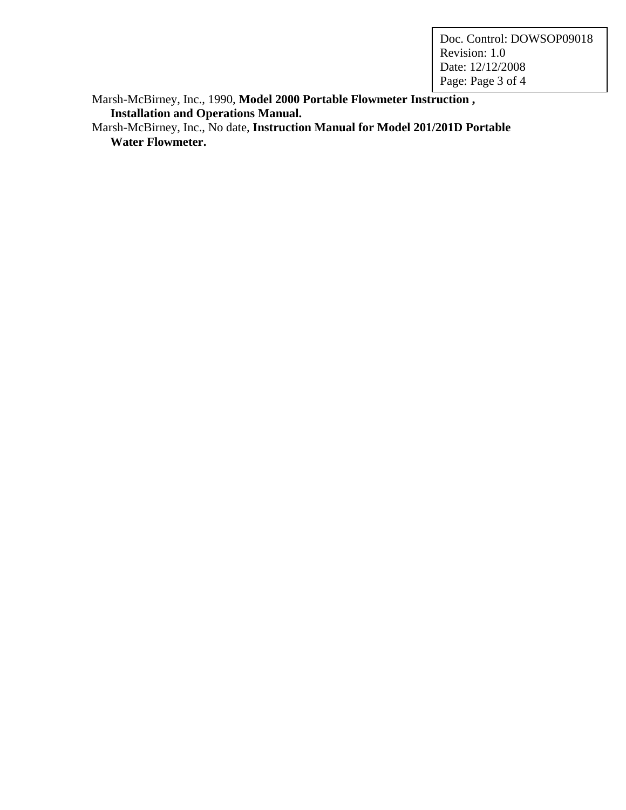Doc. Control: DOWSOP09018 Revision: 1.0 Date: 12/12/2008 Page: Page 3 of 4

Marsh-McBirney, Inc., 1990, **Model 2000 Portable Flowmeter Instruction , Installation and Operations Manual.** 

Marsh-McBirney, Inc., No date, **Instruction Manual for Model 201/201D Portable Water Flowmeter.**